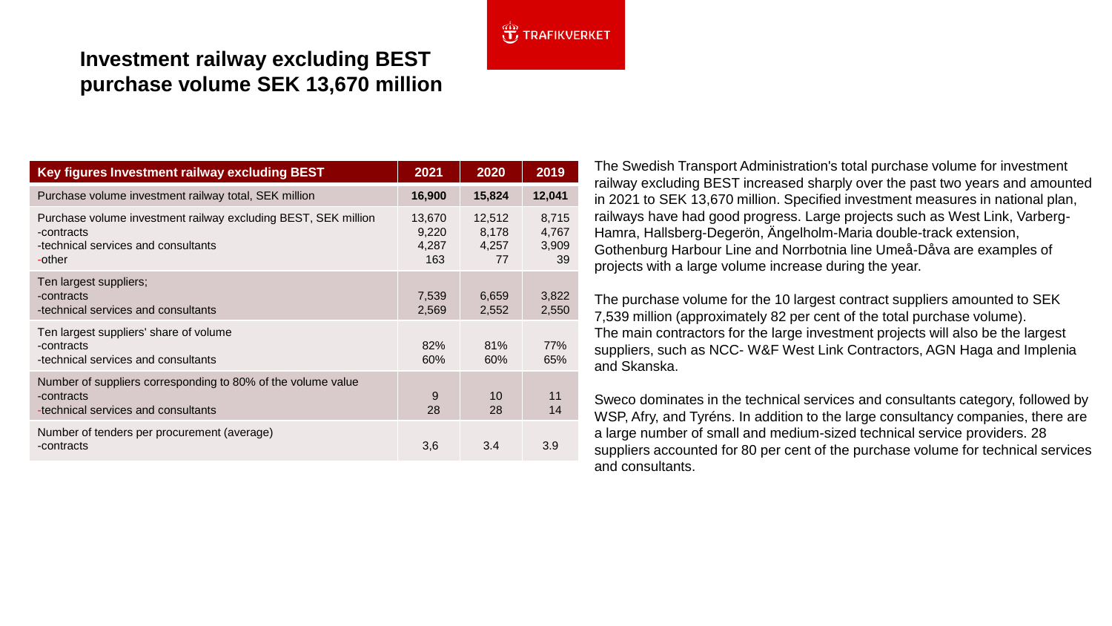## $\overbrace{11}^{400}$  TRAFIKVERKET

# **Investment railway excluding BEST purchase volume SEK 13,670 million**

| Key figures Investment railway excluding BEST                                                                                 | 2021                            | 2020                           | 2019                          |
|-------------------------------------------------------------------------------------------------------------------------------|---------------------------------|--------------------------------|-------------------------------|
| Purchase volume investment railway total, SEK million                                                                         | 16,900                          | 15,824                         | 12,041                        |
| Purchase volume investment railway excluding BEST, SEK million<br>-contracts<br>-technical services and consultants<br>-other | 13,670<br>9,220<br>4,287<br>163 | 12,512<br>8,178<br>4,257<br>77 | 8,715<br>4,767<br>3,909<br>39 |
| Ten largest suppliers;<br>-contracts<br>-technical services and consultants                                                   | 7,539<br>2,569                  | 6,659<br>2,552                 | 3,822<br>2,550                |
| Ten largest suppliers' share of volume<br>-contracts<br>-technical services and consultants                                   | 82%<br>60%                      | 81%<br>60%                     | 77%<br>65%                    |
| Number of suppliers corresponding to 80% of the volume value<br>-contracts<br>-technical services and consultants             | 9<br>28                         | 10<br>28                       | 11<br>14                      |
| Number of tenders per procurement (average)<br>-contracts                                                                     | 3,6                             | 3.4                            | 3.9                           |

The Swedish Transport Administration's total purchase volume for investment railway excluding BEST increased sharply over the past two years and amounted in 2021 to SEK 13,670 million. Specified investment measures in national plan, railways have had good progress. Large projects such as West Link, Varberg-Hamra, Hallsberg-Degerön, Ängelholm-Maria double-track extension, Gothenburg Harbour Line and Norrbotnia line Umeå-Dåva are examples of projects with a large volume increase during the year.

The purchase volume for the 10 largest contract suppliers amounted to SEK 7,539 million (approximately 82 per cent of the total purchase volume). The main contractors for the large investment projects will also be the largest suppliers, such as NCC- W&F West Link Contractors, AGN Haga and Implenia and Skanska.

Sweco dominates in the technical services and consultants category, followed by WSP, Afry, and Tyréns. In addition to the large consultancy companies, there are a large number of small and medium-sized technical service providers. 28 suppliers accounted for 80 per cent of the purchase volume for technical services and consultants.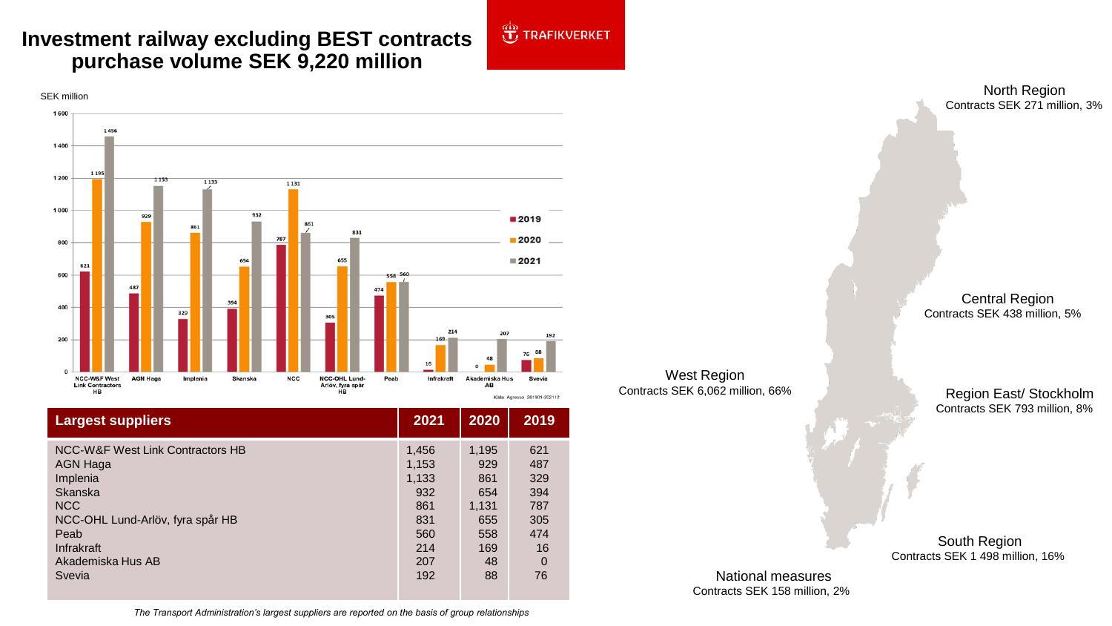# **Investment railway excluding BEST contracts purchase volume SEK 9,220 million**





| <b>Largest suppliers</b>         | 2021  | 2020  | 2019     |
|----------------------------------|-------|-------|----------|
| NCC-W&F West Link Contractors HB | 1,456 | 1,195 | 621      |
| <b>AGN Haga</b>                  | 1,153 | 929   | 487      |
| Implenia                         | 1,133 | 861   | 329      |
| Skanska                          | 932   | 654   | 394      |
| <b>NCC</b>                       | 861   | 1,131 | 787      |
| NCC-OHL Lund-Arlöv, fyra spår HB | 831   | 655   | 305      |
| Peab                             | 560   | 558   | 474      |
| Infrakraft                       | 214   | 169   | 16       |
| Akademiska Hus AB                | 207   | 48    | $\Omega$ |
| Svevia                           | 192   | 88    | 76       |

Contracts SEK 271 million, 3%

Central Region Contracts SEK 438 million, 5%

West Region Contracts SEK 6,062 million, 66%

Region East/ Stockholm Contracts SEK 793 million, 8%

South Region Contracts SEK 1 498 million, 16%

National measures Contracts SEK 158 million, 2%

*The Transport Administration's largest suppliers are reported on the basis of group relationships*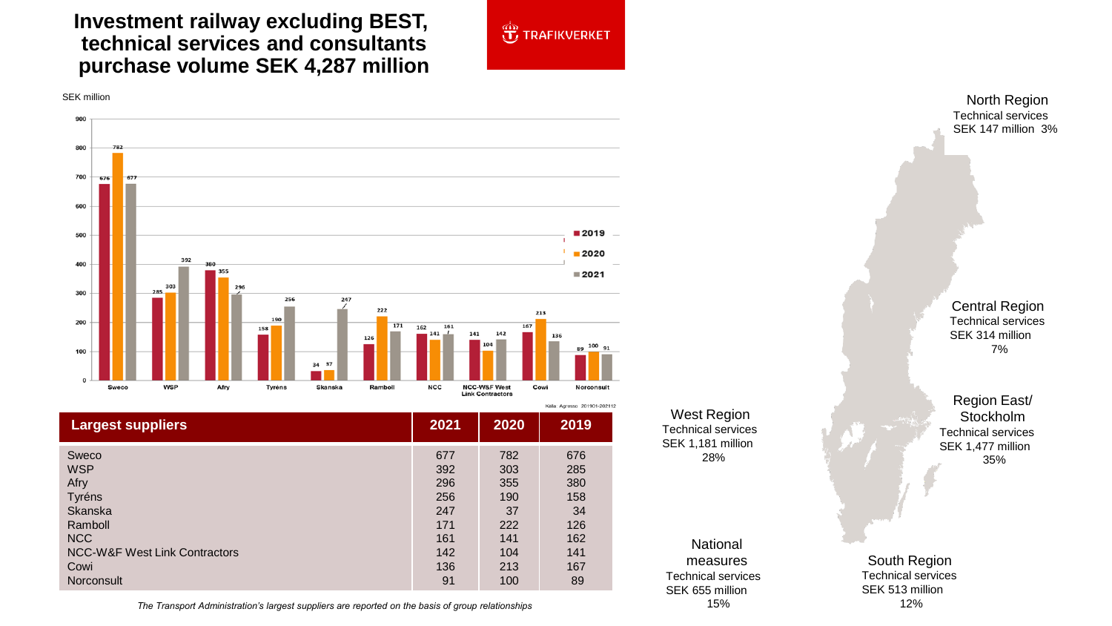### **Investment railway excluding BEST, technical services and consultants purchase volume SEK 4,287 million**



SEK million



|                                          | Källa: Agresso 201901-20211; |      |      |
|------------------------------------------|------------------------------|------|------|
| <b>Largest suppliers</b>                 | 2021                         | 2020 | 2019 |
| Sweco                                    | 677                          | 782  | 676  |
| <b>WSP</b>                               | 392                          | 303  | 285  |
| Afry                                     | 296                          | 355  | 380  |
| Tyréns                                   | 256                          | 190  | 158  |
| <b>Skanska</b>                           | 247                          | 37   | 34   |
| Ramboll                                  | 171                          | 222  | 126  |
| NCC                                      | 161                          | 141  | 162  |
| <b>NCC-W&amp;F West Link Contractors</b> | 142                          | 104  | 141  |
| Cowi                                     | 136                          | 213  | 167  |
| Norconsult                               | 91                           | 100  | 89   |

*The Transport Administration's largest suppliers are reported on the basis of group relationships* 15%

West Region Technical services SEK 1,181 million 28%

#### National measures Technical services SEK 655 million

Technical services SEK 147 million 3%

Central Region Technical services SEK 314 million 7%

Region East/ Stockholm Technical services SEK 1,477 million 35%

South Region Technical services SEK 513 million 12%